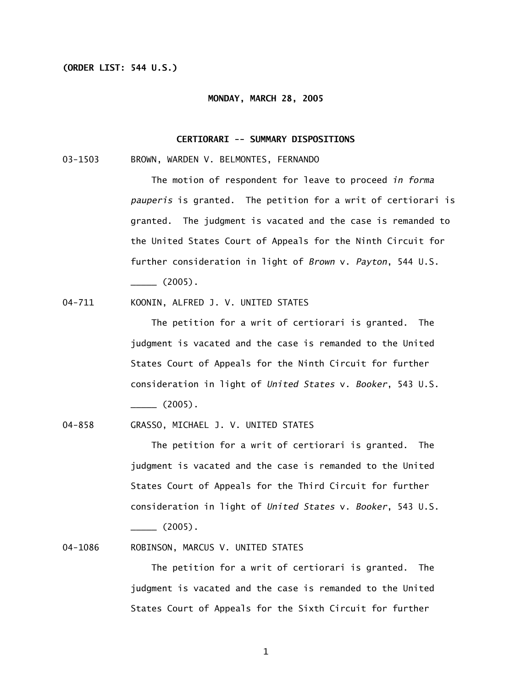## **(ORDER LIST: 544 U.S.)**

#### **MONDAY, MARCH 28, 2005**

## **CERTIORARI -- SUMMARY DISPOSITIONS**

03-1503 BROWN, WARDEN V. BELMONTES, FERNANDO

 The motion of respondent for leave to proceed *in forma pauperis* is granted. The petition for a writ of certiorari is granted. The judgment is vacated and the case is remanded to the United States Court of Appeals for the Ninth Circuit for further consideration in light of *Brown* v. *Payton*, 544 U.S.  $\frac{1}{2}$  (2005).

04-711 KOONIN, ALFRED J. V. UNITED STATES

 The petition for a writ of certiorari is granted. The judgment is vacated and the case is remanded to the United States Court of Appeals for the Ninth Circuit for further consideration in light of *United States* v. *Booker*, 543 U.S.  $\frac{1}{2}$  (2005).

04-858 GRASSO, MICHAEL J. V. UNITED STATES

 The petition for a writ of certiorari is granted. The judgment is vacated and the case is remanded to the United States Court of Appeals for the Third Circuit for further consideration in light of *United States* v. *Booker*, 543 U.S.

 $\frac{1}{2}$  (2005).

04-1086 ROBINSON, MARCUS V. UNITED STATES

 The petition for a writ of certiorari is granted. The judgment is vacated and the case is remanded to the United States Court of Appeals for the Sixth Circuit for further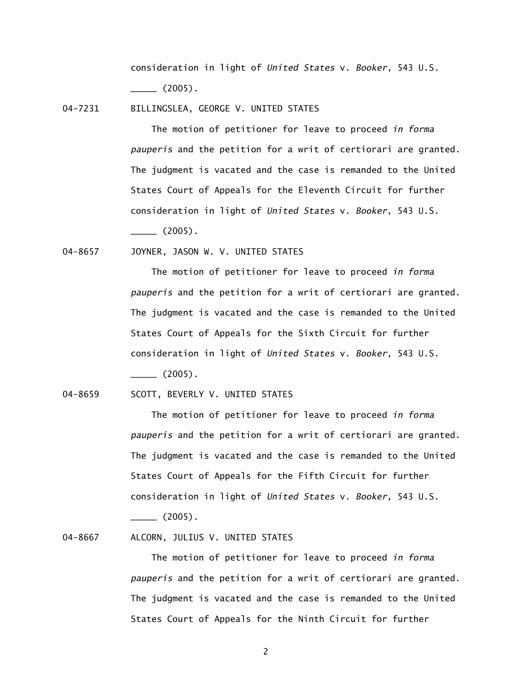consideration in light of *United States* v. *Booker*, 543 U.S.  $\frac{1}{2}$  (2005).

04-7231 BILLINGSLEA, GEORGE V. UNITED STATES

 The motion of petitioner for leave to proceed *in forma pauperis* and the petition for a writ of certiorari are granted. The judgment is vacated and the case is remanded to the United States Court of Appeals for the Eleventh Circuit for further consideration in light of *United States* v. *Booker*, 543 U.S.

 $\frac{1}{2}$  (2005).

04-8657 JOYNER, JASON W. V. UNITED STATES

 The motion of petitioner for leave to proceed *in forma pauperis* and the petition for a writ of certiorari are granted. The judgment is vacated and the case is remanded to the United States Court of Appeals for the Sixth Circuit for further consideration in light of *United States* v. *Booker*, 543 U.S.  $\frac{1}{2}$  (2005).

04-8659 SCOTT, BEVERLY V. UNITED STATES

 The motion of petitioner for leave to proceed *in forma pauperis* and the petition for a writ of certiorari are granted. The judgment is vacated and the case is remanded to the United States Court of Appeals for the Fifth Circuit for further consideration in light of *United States* v. *Booker*, 543 U.S.  $\frac{1}{2005}$ .

04-8667 ALCORN, JULIUS V. UNITED STATES

 The motion of petitioner for leave to proceed *in forma pauperis* and the petition for a writ of certiorari are granted. The judgment is vacated and the case is remanded to the United States Court of Appeals for the Ninth Circuit for further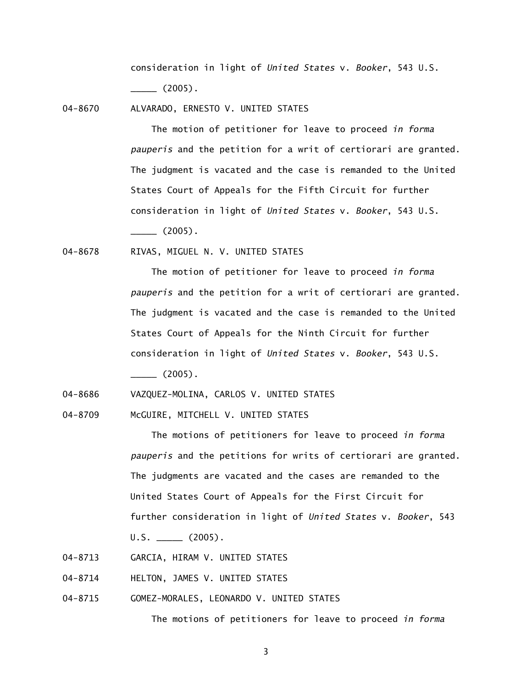consideration in light of *United States* v. *Booker*, 543 U.S.  $\frac{1}{2005}$ .

04-8670 ALVARADO, ERNESTO V. UNITED STATES

 The motion of petitioner for leave to proceed *in forma pauperis* and the petition for a writ of certiorari are granted. The judgment is vacated and the case is remanded to the United States Court of Appeals for the Fifth Circuit for further consideration in light of *United States* v. *Booker*, 543 U.S.

 $\sim$  (2005).

04-8678 RIVAS, MIGUEL N. V. UNITED STATES

 The motion of petitioner for leave to proceed *in forma pauperis* and the petition for a writ of certiorari are granted. The judgment is vacated and the case is remanded to the United States Court of Appeals for the Ninth Circuit for further consideration in light of *United States* v. *Booker*, 543 U.S.  $\frac{1}{2005}$ .

04-8686 VAZQUEZ-MOLINA, CARLOS V. UNITED STATES

04-8709 McGUIRE, MITCHELL V. UNITED STATES

 The motions of petitioners for leave to proceed *in forma pauperis* and the petitions for writs of certiorari are granted. The judgments are vacated and the cases are remanded to the United States Court of Appeals for the First Circuit for further consideration in light of *United States* v. *Booker*, 543  $U.S.$  (2005).

- 04-8713 GARCIA, HIRAM V. UNITED STATES
- 04-8714 HELTON, JAMES V. UNITED STATES
- 04-8715 GOMEZ-MORALES, LEONARDO V. UNITED STATES

The motions of petitioners for leave to proceed *in forma*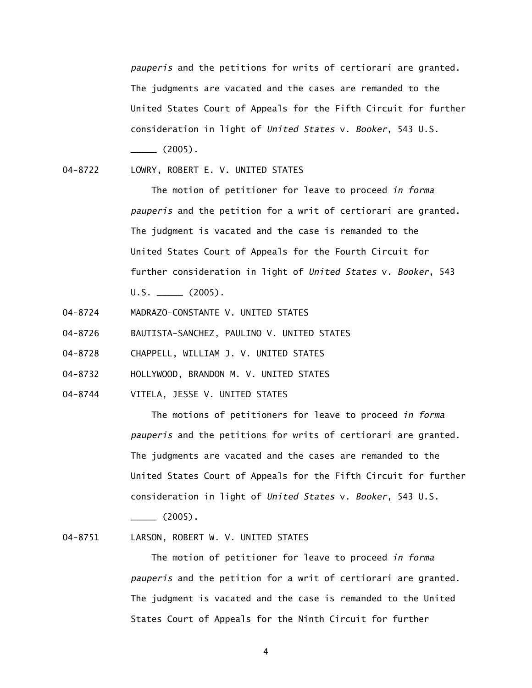*pauperis* and the petitions for writs of certiorari are granted. The judgments are vacated and the cases are remanded to the United States Court of Appeals for the Fifth Circuit for further consideration in light of *United States* v. *Booker*, 543 U.S.  $\frac{1}{2005}$ .

04-8722 LOWRY, ROBERT E. V. UNITED STATES

> The motion of petitioner for leave to proceed *in forma pauperis* and the petition for a writ of certiorari are granted. The judgment is vacated and the case is remanded to the United States Court of Appeals for the Fourth Circuit for further consideration in light of *United States* v. *Booker*, 543  $U.S.$  (2005).

- 04-8724 MADRAZO-CONSTANTE V. UNITED STATES
- 04-8726 BAUTISTA-SANCHEZ, PAULINO V. UNITED STATES
- 04-8728 CHAPPELL, WILLIAM J. V. UNITED STATES
- 04-8732 HOLLYWOOD, BRANDON M. V. UNITED STATES
- 04-8744 VITELA, JESSE V. UNITED STATES

 The motions of petitioners for leave to proceed *in forma pauperis* and the petitions for writs of certiorari are granted. The judgments are vacated and the cases are remanded to the United States Court of Appeals for the Fifth Circuit for further consideration in light of *United States* v. *Booker*, 543 U.S.  $\frac{1}{2005}$ .

04-8751 LARSON, ROBERT W. V. UNITED STATES

> The motion of petitioner for leave to proceed *in forma pauperis* and the petition for a writ of certiorari are granted. The judgment is vacated and the case is remanded to the United States Court of Appeals for the Ninth Circuit for further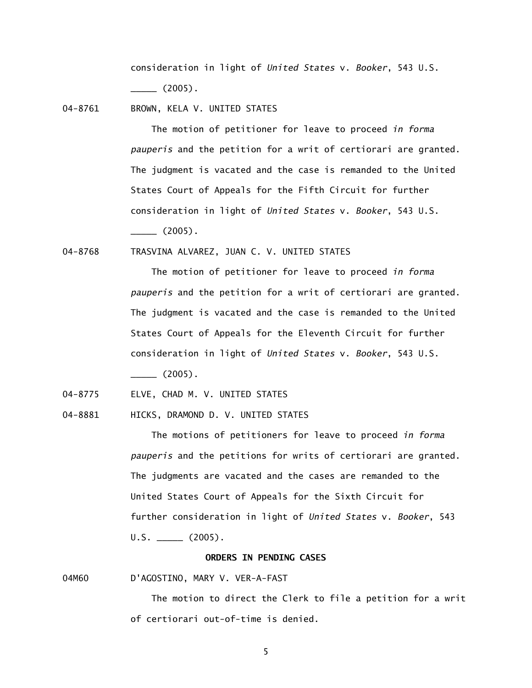consideration in light of *United States* v. *Booker*, 543 U.S.  $\frac{1}{2005}.$ 

04-8761 BROWN, KELA V. UNITED STATES

 The motion of petitioner for leave to proceed *in forma pauperis* and the petition for a writ of certiorari are granted. The judgment is vacated and the case is remanded to the United States Court of Appeals for the Fifth Circuit for further consideration in light of *United States* v. *Booker*, 543 U.S.  $\sim$  (2005).

04-8768 TRASVINA ALVAREZ, JUAN C. V. UNITED STATES

 The motion of petitioner for leave to proceed *in forma pauperis* and the petition for a writ of certiorari are granted. The judgment is vacated and the case is remanded to the United States Court of Appeals for the Eleventh Circuit for further consideration in light of *United States* v. *Booker*, 543 U.S.  $\frac{1}{2}$  (2005).

04-8775 ELVE, CHAD M. V. UNITED STATES

04-8881 HICKS, DRAMOND D. V. UNITED STATES

 The motions of petitioners for leave to proceed *in forma pauperis* and the petitions for writs of certiorari are granted. The judgments are vacated and the cases are remanded to the United States Court of Appeals for the Sixth Circuit for further consideration in light of *United States* v. *Booker*, 543  $U.S.$  (2005).

#### **ORDERS IN PENDING CASES**

04M60 D'AGOSTINO, MARY V. VER-A-FAST

The motion to direct the Clerk to file a petition for a writ of certiorari out-of-time is denied.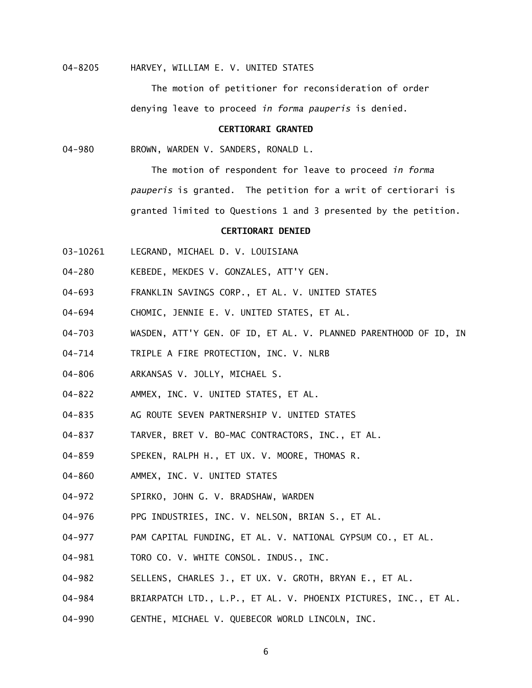### 04-8205 HARVEY, WILLIAM E. V. UNITED STATES

 The motion of petitioner for reconsideration of order denying leave to proceed *in forma pauperis* is denied.

## **CERTIORARI GRANTED**

04-980 BROWN, WARDEN V. SANDERS, RONALD L.

 The motion of respondent for leave to proceed *in forma pauperis* is granted. The petition for a writ of certiorari is granted limited to Questions 1 and 3 presented by the petition.

## **CERTIORARI DENIED**

- 03-10261 LEGRAND, MICHAEL D. V. LOUISIANA
- 04-280 KEBEDE, MEKDES V. GONZALES, ATT'Y GEN.
- 04-693 FRANKLIN SAVINGS CORP., ET AL. V. UNITED STATES
- 04-694 CHOMIC, JENNIE E. V. UNITED STATES, ET AL.
- 04-703 WASDEN, ATT'Y GEN. OF ID, ET AL. V. PLANNED PARENTHOOD OF ID, IN
- 04-714 TRIPLE A FIRE PROTECTION, INC. V. NLRB
- 04-806 ARKANSAS V. JOLLY, MICHAEL S.
- 04-822 AMMEX, INC. V. UNITED STATES, ET AL.
- 04-835 AG ROUTE SEVEN PARTNERSHIP V. UNITED STATES
- 04-837 TARVER, BRET V. BO-MAC CONTRACTORS, INC., ET AL.
- 04-859 SPEKEN, RALPH H., ET UX. V. MOORE, THOMAS R.
- 04-860 AMMEX, INC. V. UNITED STATES
- 04-972 SPIRKO, JOHN G. V. BRADSHAW, WARDEN
- 04-976 PPG INDUSTRIES, INC. V. NELSON, BRIAN S., ET AL.
- 04-977 PAM CAPITAL FUNDING, ET AL. V. NATIONAL GYPSUM CO., ET AL.
- 04-981 TORO CO. V. WHITE CONSOL. INDUS., INC.
- 04-982 SELLENS, CHARLES J., ET UX. V. GROTH, BRYAN E., ET AL.
- 04-984 BRIARPATCH LTD., L.P., ET AL. V. PHOENIX PICTURES, INC., ET AL.
- 04-990 GENTHE, MICHAEL V. QUEBECOR WORLD LINCOLN, INC.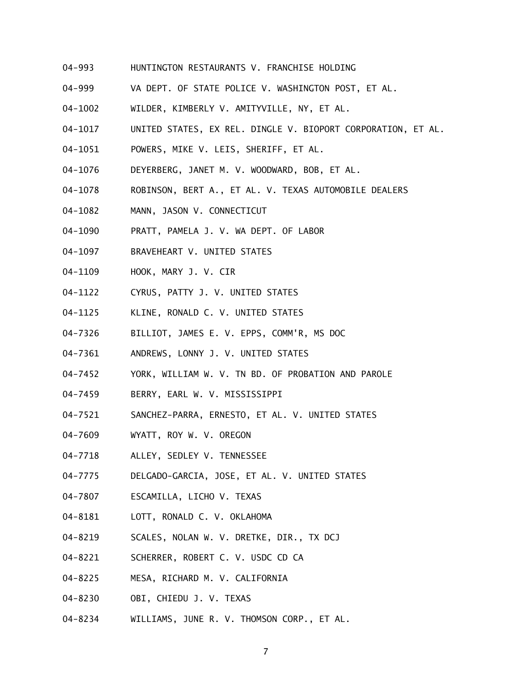- 04-993 HUNTINGTON RESTAURANTS V. FRANCHISE HOLDING
- 04-999 VA DEPT. OF STATE POLICE V. WASHINGTON POST, ET AL.
- 04-1002 WILDER, KIMBERLY V. AMITYVILLE, NY, ET AL.
- 04-1017 UNITED STATES, EX REL. DINGLE V. BIOPORT CORPORATION, ET AL.
- 04-1051 POWERS, MIKE V. LEIS, SHERIFF, ET AL.
- 04-1076 DEYERBERG, JANET M. V. WOODWARD, BOB, ET AL.
- 04-1078 ROBINSON, BERT A., ET AL. V. TEXAS AUTOMOBILE DEALERS
- 04-1082 MANN, JASON V. CONNECTICUT
- 04-1090 PRATT, PAMELA J. V. WA DEPT. OF LABOR
- 04-1097 BRAVEHEART V. UNITED STATES
- 04-1109 HOOK, MARY J. V. CIR
- 04-1122 CYRUS, PATTY J. V. UNITED STATES
- 04-1125 KLINE, RONALD C. V. UNITED STATES
- 04-7326 BILLIOT, JAMES E. V. EPPS, COMM'R, MS DOC
- 04-7361 ANDREWS, LONNY J. V. UNITED STATES
- 04-7452 YORK, WILLIAM W. V. TN BD. OF PROBATION AND PAROLE
- 04-7459 BERRY, EARL W. V. MISSISSIPPI
- 04-7521 SANCHEZ-PARRA, ERNESTO, ET AL. V. UNITED STATES
- 04-7609 WYATT, ROY W. V. OREGON
- 04-7718 ALLEY, SEDLEY V. TENNESSEE
- 04-7775 DELGADO-GARCIA, JOSE, ET AL. V. UNITED STATES
- 04-7807 ESCAMILLA, LICHO V. TEXAS
- 04-8181 LOTT, RONALD C. V. OKLAHOMA
- 04-8219 SCALES, NOLAN W. V. DRETKE, DIR., TX DCJ
- 04-8221 SCHERRER, ROBERT C. V. USDC CD CA
- 04-8225 MESA, RICHARD M. V. CALIFORNIA
- 04-8230 OBI, CHIEDU J. V. TEXAS
- 04-8234 WILLIAMS, JUNE R. V. THOMSON CORP., ET AL.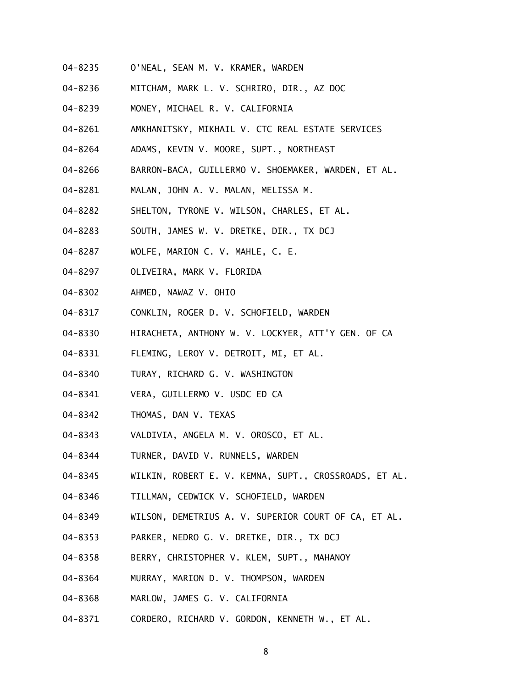- 04-8235 O'NEAL, SEAN M. V. KRAMER, WARDEN
- 04-8236 MITCHAM, MARK L. V. SCHRIRO, DIR., AZ DOC
- 04-8239 MONEY, MICHAEL R. V. CALIFORNIA
- 04-8261 AMKHANITSKY, MIKHAIL V. CTC REAL ESTATE SERVICES
- 04-8264 ADAMS, KEVIN V. MOORE, SUPT., NORTHEAST
- 04-8266 BARRON-BACA, GUILLERMO V. SHOEMAKER, WARDEN, ET AL.
- 04-8281 MALAN, JOHN A. V. MALAN, MELISSA M.
- 04-8282 SHELTON, TYRONE V. WILSON, CHARLES, ET AL.
- 04-8283 SOUTH, JAMES W. V. DRETKE, DIR., TX DCJ
- 04-8287 WOLFE, MARION C. V. MAHLE, C. E.
- 04-8297 OLIVEIRA, MARK V. FLORIDA
- 04-8302 AHMED, NAWAZ V. OHIO
- 04-8317 CONKLIN, ROGER D. V. SCHOFIELD, WARDEN
- 04-8330 HIRACHETA, ANTHONY W. V. LOCKYER, ATT'Y GEN. OF CA
- 04-8331 FLEMING, LEROY V. DETROIT, MI, ET AL.
- 04-8340 TURAY, RICHARD G. V. WASHINGTON
- 04-8341 VERA, GUILLERMO V. USDC ED CA
- 04-8342 THOMAS, DAN V. TEXAS
- 04-8343 VALDIVIA, ANGELA M. V. OROSCO, ET AL.
- 04-8344 TURNER, DAVID V. RUNNELS, WARDEN
- 04-8345 WILKIN, ROBERT E. V. KEMNA, SUPT., CROSSROADS, ET AL.
- 04-8346 TILLMAN, CEDWICK V. SCHOFIELD, WARDEN
- 04-8349 WILSON, DEMETRIUS A. V. SUPERIOR COURT OF CA, ET AL.
- 04-8353 PARKER, NEDRO G. V. DRETKE, DIR., TX DCJ
- 04-8358 BERRY, CHRISTOPHER V. KLEM, SUPT., MAHANOY
- 04-8364 MURRAY, MARION D. V. THOMPSON, WARDEN
- 04-8368 MARLOW, JAMES G. V. CALIFORNIA
- 04-8371 CORDERO, RICHARD V. GORDON, KENNETH W., ET AL.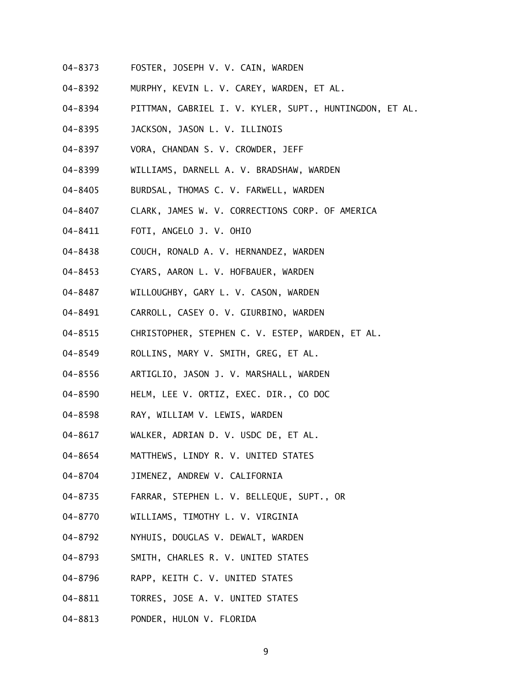- 04-8373 FOSTER, JOSEPH V. V. CAIN, WARDEN
- 04-8392 MURPHY, KEVIN L. V. CAREY, WARDEN, ET AL.
- 04-8394 PITTMAN, GABRIEL I. V. KYLER, SUPT., HUNTINGDON, ET AL.
- 04-8395 JACKSON, JASON L. V. ILLINOIS
- 04-8397 VORA, CHANDAN S. V. CROWDER, JEFF
- 04-8399 WILLIAMS, DARNELL A. V. BRADSHAW, WARDEN
- 04-8405 BURDSAL, THOMAS C. V. FARWELL, WARDEN
- 04-8407 CLARK, JAMES W. V. CORRECTIONS CORP. OF AMERICA
- 04-8411 FOTI, ANGELO J. V. OHIO
- 04-8438 COUCH, RONALD A. V. HERNANDEZ, WARDEN
- 04-8453 CYARS, AARON L. V. HOFBAUER, WARDEN
- 04-8487 WILLOUGHBY, GARY L. V. CASON, WARDEN
- 04-8491 CARROLL, CASEY O. V. GIURBINO, WARDEN
- 04-8515 CHRISTOPHER, STEPHEN C. V. ESTEP, WARDEN, ET AL.
- 04-8549 ROLLINS, MARY V. SMITH, GREG, ET AL.
- 04-8556 ARTIGLIO, JASON J. V. MARSHALL, WARDEN
- 04-8590 HELM, LEE V. ORTIZ, EXEC. DIR., CO DOC
- 04-8598 RAY, WILLIAM V. LEWIS, WARDEN
- 04-8617 WALKER, ADRIAN D. V. USDC DE, ET AL.
- 04-8654 MATTHEWS, LINDY R. V. UNITED STATES
- 04-8704 JIMENEZ, ANDREW V. CALIFORNIA
- 04-8735 FARRAR, STEPHEN L. V. BELLEQUE, SUPT., OR
- 04-8770 WILLIAMS, TIMOTHY L. V. VIRGINIA
- 04-8792 NYHUIS, DOUGLAS V. DEWALT, WARDEN
- 04-8793 SMITH, CHARLES R. V. UNITED STATES
- 04-8796 RAPP, KEITH C. V. UNITED STATES
- 04-8811 TORRES, JOSE A. V. UNITED STATES
- 04-8813 PONDER, HULON V. FLORIDA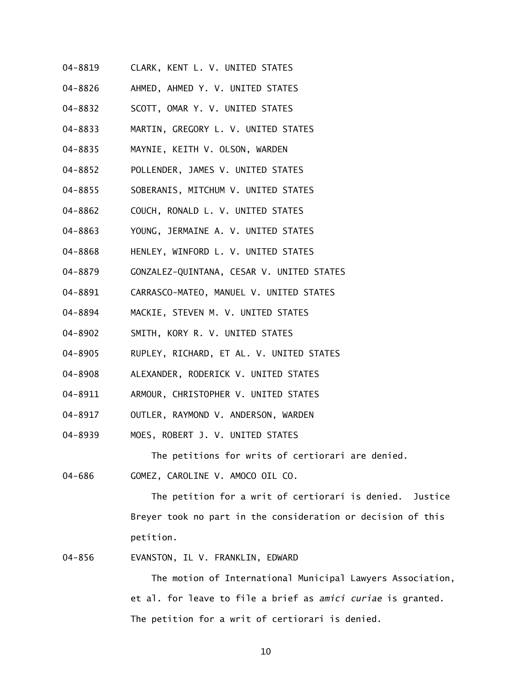- 04-8819 CLARK, KENT L. V. UNITED STATES
- 04-8826 AHMED, AHMED Y. V. UNITED STATES
- 04-8832 SCOTT, OMAR Y. V. UNITED STATES
- 04-8833 MARTIN, GREGORY L. V. UNITED STATES
- 04-8835 MAYNIE, KEITH V. OLSON, WARDEN
- 04-8852 POLLENDER, JAMES V. UNITED STATES
- 04-8855 SOBERANIS, MITCHUM V. UNITED STATES
- 04-8862 COUCH, RONALD L. V. UNITED STATES
- 04-8863 YOUNG, JERMAINE A. V. UNITED STATES
- 04-8868 HENLEY, WINFORD L. V. UNITED STATES
- 04-8879 GONZALEZ-QUINTANA, CESAR V. UNITED STATES
- 04-8891 CARRASCO-MATEO, MANUEL V. UNITED STATES
- 04-8894 MACKIE, STEVEN M. V. UNITED STATES
- 04-8902 SMITH, KORY R. V. UNITED STATES
- 04-8905 RUPLEY, RICHARD, ET AL. V. UNITED STATES
- 04-8908 ALEXANDER, RODERICK V. UNITED STATES
- 04-8911 ARMOUR, CHRISTOPHER V. UNITED STATES
- 04-8917 OUTLER, RAYMOND V. ANDERSON, WARDEN
- 04-8939 MOES, ROBERT J. V. UNITED STATES

The petitions for writs of certiorari are denied.

04-686 GOMEZ, CAROLINE V. AMOCO OIL CO.

> The petition for a writ of certiorari is denied. Justice Breyer took no part in the consideration or decision of this petition.

04-856 EVANSTON, IL V. FRANKLIN, EDWARD

> The motion of International Municipal Lawyers Association, et al. for leave to file a brief as *amici curiae* is granted. The petition for a writ of certiorari is denied.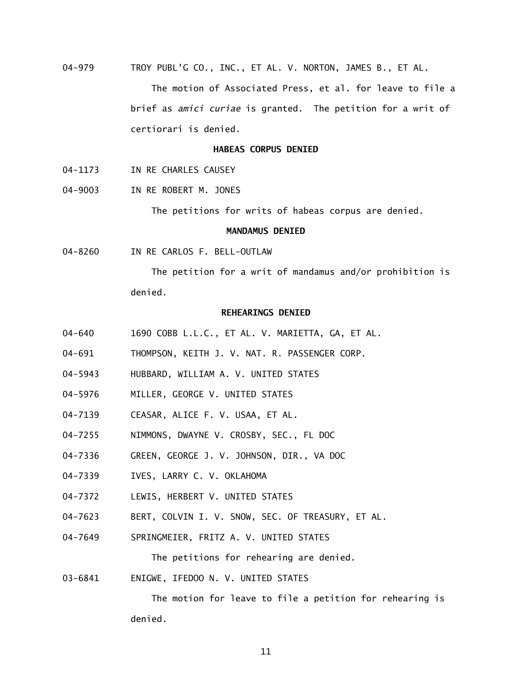04-979 TROY PUBL'G CO., INC., ET AL. V. NORTON, JAMES B., ET AL.

> The motion of Associated Press, et al. for leave to file a brief as *amici curiae* is granted. The petition for a writ of certiorari is denied.

#### **HABEAS CORPUS DENIED**

- 04-1173 IN RE CHARLES CAUSEY
- 04-9003 IN RE ROBERT M. JONES

The petitions for writs of habeas corpus are denied.

## **MANDAMUS DENIED**

04-8260 IN RE CARLOS F. BELL-OUTLAW

> The petition for a writ of mandamus and/or prohibition is denied.

## **REHEARINGS DENIED**

- 04-640 1690 COBB L.L.C., ET AL. V. MARIETTA, GA, ET AL.
- 04-691 THOMPSON, KEITH J. V. NAT. R. PASSENGER CORP.
- 04-5943 HUBBARD, WILLIAM A. V. UNITED STATES
- 04-5976 MILLER, GEORGE V. UNITED STATES
- 04-7139 CEASAR, ALICE F. V. USAA, ET AL.
- 04-7255 NIMMONS, DWAYNE V. CROSBY, SEC., FL DOC
- 04-7336 GREEN, GEORGE J. V. JOHNSON, DIR., VA DOC
- 04-7339 IVES, LARRY C. V. OKLAHOMA
- 04-7372 LEWIS, HERBERT V. UNITED STATES
- 04-7623 BERT, COLVIN I. V. SNOW, SEC. OF TREASURY, ET AL.
- 04-7649 SPRINGMEIER, FRITZ A. V. UNITED STATES

The petitions for rehearing are denied.

03-6841 ENIGWE, IFEDOO N. V. UNITED STATES

> The motion for leave to file a petition for rehearing is denied.